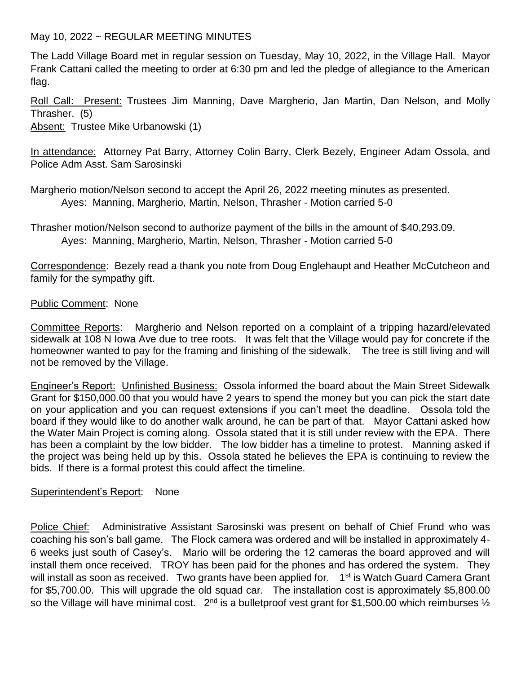May 10, 2022 ~ REGULAR MEETING MINUTES

The Ladd Village Board met in regular session on Tuesday, May 10, 2022, in the Village Hall. Mayor Frank Cattani called the meeting to order at 6:30 pm and led the pledge of allegiance to the American flag.

Roll Call: Present: Trustees Jim Manning, Dave Margherio, Jan Martin, Dan Nelson, and Molly Thrasher. (5)

Absent: Trustee Mike Urbanowski (1)

In attendance: Attorney Pat Barry, Attorney Colin Barry, Clerk Bezely, Engineer Adam Ossola, and Police Adm Asst. Sam Sarosinski

Margherio motion/Nelson second to accept the April 26, 2022 meeting minutes as presented. Ayes: Manning, Margherio, Martin, Nelson, Thrasher - Motion carried 5-0

Thrasher motion/Nelson second to authorize payment of the bills in the amount of \$40,293.09. Ayes: Manning, Margherio, Martin, Nelson, Thrasher - Motion carried 5-0

Correspondence: Bezely read a thank you note from Doug Englehaupt and Heather McCutcheon and family for the sympathy gift.

# Public Comment: None

Committee Reports: Margherio and Nelson reported on a complaint of a tripping hazard/elevated sidewalk at 108 N Iowa Ave due to tree roots. It was felt that the Village would pay for concrete if the homeowner wanted to pay for the framing and finishing of the sidewalk. The tree is still living and will not be removed by the Village.

Engineer's Report: Unfinished Business: Ossola informed the board about the Main Street Sidewalk Grant for \$150,000.00 that you would have 2 years to spend the money but you can pick the start date on your application and you can request extensions if you can't meet the deadline. Ossola told the board if they would like to do another walk around, he can be part of that. Mayor Cattani asked how the Water Main Project is coming along. Ossola stated that it is still under review with the EPA. There has been a complaint by the low bidder. The low bidder has a timeline to protest. Manning asked if the project was being held up by this. Ossola stated he believes the EPA is continuing to review the bids. If there is a formal protest this could affect the timeline.

## Superintendent's Report: None

Police Chief: Administrative Assistant Sarosinski was present on behalf of Chief Frund who was coaching his son's ball game. The Flock camera was ordered and will be installed in approximately 4- 6 weeks just south of Casey's. Mario will be ordering the 12 cameras the board approved and will install them once received. TROY has been paid for the phones and has ordered the system. They will install as soon as received. Two grants have been applied for. 1<sup>st</sup> is Watch Guard Camera Grant for \$5,700.00. This will upgrade the old squad car. The installation cost is approximately \$5,800.00 so the Village will have minimal cost.  $2^{nd}$  is a bulletproof vest grant for \$1,500.00 which reimburses  $\frac{1}{2}$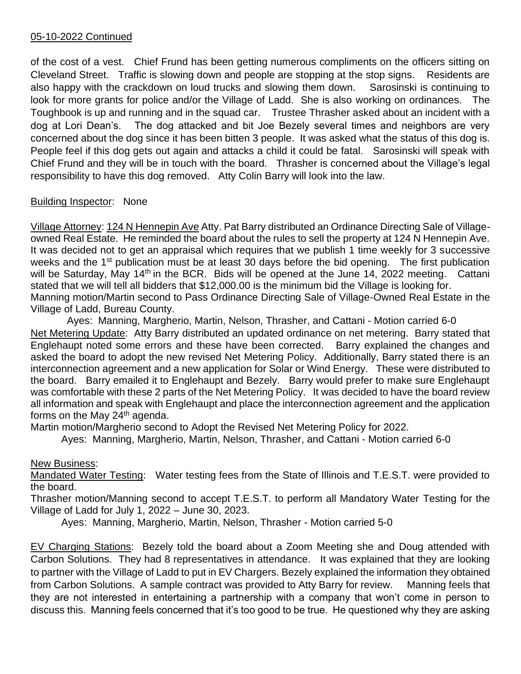## 05-10-2022 Continued

of the cost of a vest. Chief Frund has been getting numerous compliments on the officers sitting on Cleveland Street. Traffic is slowing down and people are stopping at the stop signs. Residents are also happy with the crackdown on loud trucks and slowing them down. Sarosinski is continuing to look for more grants for police and/or the Village of Ladd. She is also working on ordinances. The Toughbook is up and running and in the squad car. Trustee Thrasher asked about an incident with a dog at Lori Dean's. The dog attacked and bit Joe Bezely several times and neighbors are very concerned about the dog since it has been bitten 3 people. It was asked what the status of this dog is. People feel if this dog gets out again and attacks a child it could be fatal. Sarosinski will speak with Chief Frund and they will be in touch with the board. Thrasher is concerned about the Village's legal responsibility to have this dog removed. Atty Colin Barry will look into the law.

# Building Inspector: None

Village Attorney: 124 N Hennepin Ave Atty. Pat Barry distributed an Ordinance Directing Sale of Villageowned Real Estate. He reminded the board about the rules to sell the property at 124 N Hennepin Ave. It was decided not to get an appraisal which requires that we publish 1 time weekly for 3 successive weeks and the 1<sup>st</sup> publication must be at least 30 days before the bid opening. The first publication will be Saturday, May 14<sup>th</sup> in the BCR. Bids will be opened at the June 14, 2022 meeting. Cattani stated that we will tell all bidders that \$12,000.00 is the minimum bid the Village is looking for. Manning motion/Martin second to Pass Ordinance Directing Sale of Village-Owned Real Estate in the Village of Ladd, Bureau County.

 Ayes: Manning, Margherio, Martin, Nelson, Thrasher, and Cattani - Motion carried 6-0 Net Metering Update: Atty Barry distributed an updated ordinance on net metering. Barry stated that Englehaupt noted some errors and these have been corrected. Barry explained the changes and asked the board to adopt the new revised Net Metering Policy. Additionally, Barry stated there is an interconnection agreement and a new application for Solar or Wind Energy. These were distributed to the board. Barry emailed it to Englehaupt and Bezely. Barry would prefer to make sure Englehaupt was comfortable with these 2 parts of the Net Metering Policy. It was decided to have the board review all information and speak with Englehaupt and place the interconnection agreement and the application forms on the May  $24<sup>th</sup>$  agenda.

Martin motion/Margherio second to Adopt the Revised Net Metering Policy for 2022.

Ayes: Manning, Margherio, Martin, Nelson, Thrasher, and Cattani - Motion carried 6-0

## New Business:

Mandated Water Testing: Water testing fees from the State of Illinois and T.E.S.T. were provided to the board.

Thrasher motion/Manning second to accept T.E.S.T. to perform all Mandatory Water Testing for the Village of Ladd for July 1, 2022 – June 30, 2023.

Ayes: Manning, Margherio, Martin, Nelson, Thrasher - Motion carried 5-0

EV Charging Stations: Bezely told the board about a Zoom Meeting she and Doug attended with Carbon Solutions. They had 8 representatives in attendance. It was explained that they are looking to partner with the Village of Ladd to put in EV Chargers. Bezely explained the information they obtained from Carbon Solutions. A sample contract was provided to Atty Barry for review. Manning feels that they are not interested in entertaining a partnership with a company that won't come in person to discuss this. Manning feels concerned that it's too good to be true. He questioned why they are asking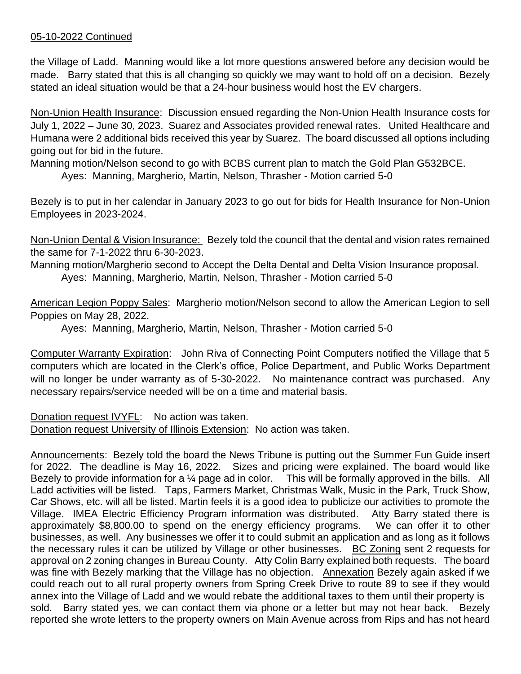## 05-10-2022 Continued

the Village of Ladd. Manning would like a lot more questions answered before any decision would be made. Barry stated that this is all changing so quickly we may want to hold off on a decision. Bezely stated an ideal situation would be that a 24-hour business would host the EV chargers.

Non-Union Health Insurance: Discussion ensued regarding the Non-Union Health Insurance costs for July 1, 2022 – June 30, 2023. Suarez and Associates provided renewal rates. United Healthcare and Humana were 2 additional bids received this year by Suarez. The board discussed all options including going out for bid in the future.

Manning motion/Nelson second to go with BCBS current plan to match the Gold Plan G532BCE.

Ayes: Manning, Margherio, Martin, Nelson, Thrasher - Motion carried 5-0

Bezely is to put in her calendar in January 2023 to go out for bids for Health Insurance for Non-Union Employees in 2023-2024.

Non-Union Dental & Vision Insurance: Bezely told the council that the dental and vision rates remained the same for 7-1-2022 thru 6-30-2023.

Manning motion/Margherio second to Accept the Delta Dental and Delta Vision Insurance proposal. Ayes: Manning, Margherio, Martin, Nelson, Thrasher - Motion carried 5-0

American Legion Poppy Sales: Margherio motion/Nelson second to allow the American Legion to sell Poppies on May 28, 2022.

Ayes: Manning, Margherio, Martin, Nelson, Thrasher - Motion carried 5-0

Computer Warranty Expiration: John Riva of Connecting Point Computers notified the Village that 5 computers which are located in the Clerk's office, Police Department, and Public Works Department will no longer be under warranty as of 5-30-2022. No maintenance contract was purchased. Any necessary repairs/service needed will be on a time and material basis.

Donation request IVYFL: No action was taken. Donation request University of Illinois Extension: No action was taken.

Announcements: Bezely told the board the News Tribune is putting out the Summer Fun Guide insert for 2022. The deadline is May 16, 2022. Sizes and pricing were explained. The board would like Bezely to provide information for a 1/4 page ad in color. This will be formally approved in the bills. All Ladd activities will be listed. Taps, Farmers Market, Christmas Walk, Music in the Park, Truck Show, Car Shows, etc. will all be listed. Martin feels it is a good idea to publicize our activities to promote the Village. IMEA Electric Efficiency Program information was distributed. Atty Barry stated there is approximately \$8,800.00 to spend on the energy efficiency programs. We can offer it to other businesses, as well. Any businesses we offer it to could submit an application and as long as it follows the necessary rules it can be utilized by Village or other businesses. BC Zoning sent 2 requests for approval on 2 zoning changes in Bureau County. Atty Colin Barry explained both requests. The board was fine with Bezely marking that the Village has no objection. Annexation Bezely again asked if we could reach out to all rural property owners from Spring Creek Drive to route 89 to see if they would annex into the Village of Ladd and we would rebate the additional taxes to them until their property is sold. Barry stated yes, we can contact them via phone or a letter but may not hear back. Bezely reported she wrote letters to the property owners on Main Avenue across from Rips and has not heard